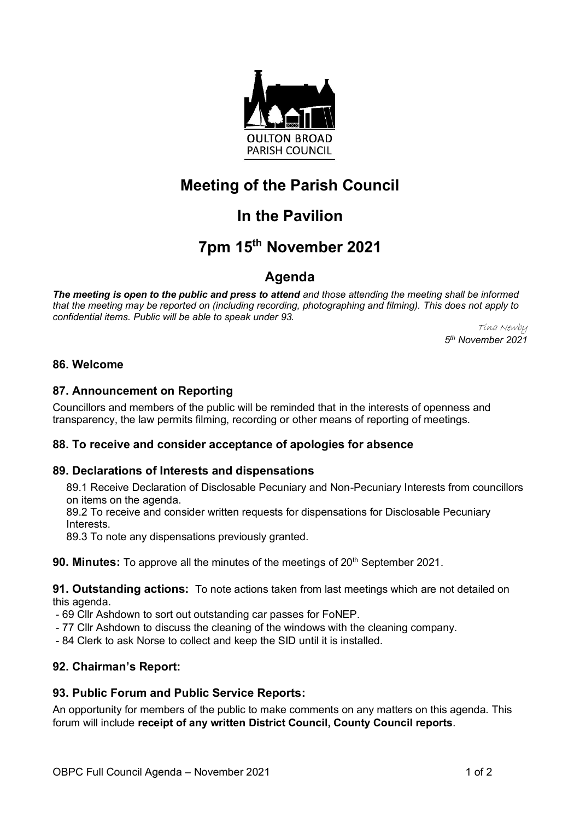

# **Meeting of the Parish Council**

# **In the Pavilion**

# **7pm 15th November 2021**

# **Agenda**

*The meeting is open to the public and press to attend and those attending the meeting shall be informed that the meeting may be reported on (including recording, photographing and filming). This does not apply to confidential items. Public will be able to speak under 93.*

Tina Newby *5 th November 2021*

## **86. Welcome**

# **87. Announcement on Reporting**

Councillors and members of the public will be reminded that in the interests of openness and transparency, the law permits filming, recording or other means of reporting of meetings.

## **88. To receive and consider acceptance of apologies for absence**

## **89. Declarations of Interests and dispensations**

89.1 Receive Declaration of Disclosable Pecuniary and Non-Pecuniary Interests from councillors on items on the agenda.

89.2 To receive and consider written requests for dispensations for Disclosable Pecuniary Interests.

89.3 To note any dispensations previously granted.

**90. Minutes:** To approve all the minutes of the meetings of 20<sup>th</sup> September 2021.

**91. Outstanding actions:** To note actions taken from last meetings which are not detailed on this agenda.

- 69 Cllr Ashdown to sort out outstanding car passes for FoNEP.
- 77 Cllr Ashdown to discuss the cleaning of the windows with the cleaning company.
- 84 Clerk to ask Norse to collect and keep the SID until it is installed.

## **92. Chairman's Report:**

## **93. Public Forum and Public Service Reports:**

An opportunity for members of the public to make comments on any matters on this agenda. This forum will include **receipt of any written District Council, County Council reports**.